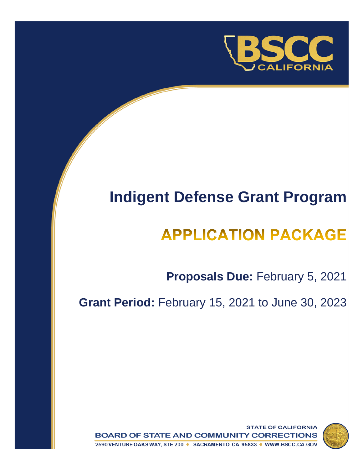

# **Indigent Defense Grant Program**

# **APPLICATION PACKAGE**

**Proposals Due:** February 5, 2021

**Grant Period:** February 15, 2021 to June 30, 2023



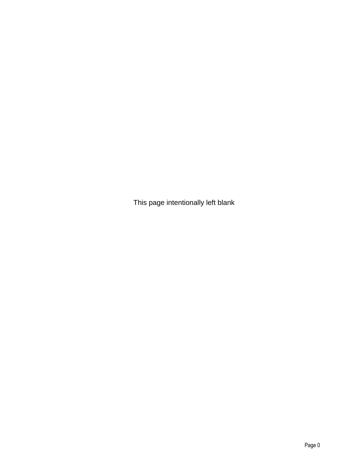This page intentionally left blank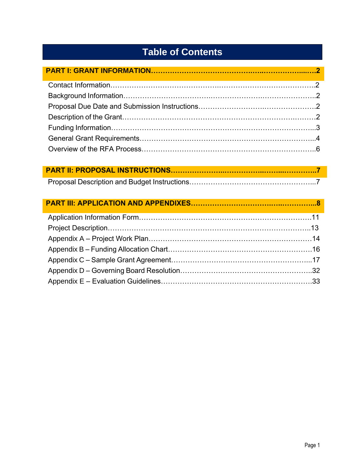### **Table of Contents**

#### **[PART III: APPLICATION AND APPENDIXES…………………………….…..…………...8](#page-9-0)**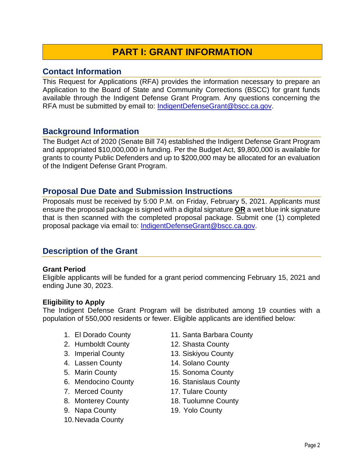### **PART I: GRANT INFORMATION**

#### <span id="page-3-1"></span><span id="page-3-0"></span>**Contact Information**

This Request for Applications (RFA) provides the information necessary to prepare an Application to the Board of State and Community Corrections (BSCC) for grant funds available through the Indigent Defense Grant Program. Any questions concerning the RFA must be submitted by email to: [IndigentDefenseGrant@bscc.ca.gov.](mailto:IndigentDefenseGrant@bscc.ca.gov)

#### <span id="page-3-2"></span>**Background Information**

The Budget Act of 2020 (Senate Bill 74) established the Indigent Defense Grant Program and appropriated \$10,000,000 in funding. Per the Budget Act, \$9,800,000 is available for grants to county Public Defenders and up to \$200,000 may be allocated for an evaluation of the Indigent Defense Grant Program.

#### <span id="page-3-3"></span>**Proposal Due Date and Submission Instructions**

Proposals must be received by 5:00 P.M. on Friday, February 5, 2021. Applicants must ensure the proposal package is signed with a digital signature **OR** a wet blue ink signature that is then scanned with the completed proposal package. Submit one (1) completed proposal package via email to: [IndigentDefenseGrant@bscc.ca.gov.](mailto:IndigentDefenseGrant@bscc.ca.gov)

#### <span id="page-3-4"></span>**Description of the Grant**

#### **Grant Period**

Eligible applicants will be funded for a grant period commencing February 15, 2021 and ending June 30, 2023.

#### **Eligibility to Apply**

The Indigent Defense Grant Program will be distributed among 19 counties with a population of 550,000 residents or fewer. Eligible applicants are identified below:

- 
- 2. Humboldt County 12. Shasta County
- 
- 4. Lassen County 14. Solano County
- 
- 6. Mendocino County 16. Stanislaus County
- 7. Merced County 17. Tulare County
- 
- 9. Napa County 19. Yolo County
- 10.Nevada County
- 1. El Dorado County 11. Santa Barbara County
	-
- 3. Imperial County 13. Siskiyou County
	-
- 5. Marin County 15. Sonoma County
	-
	-
- 8. Monterey County 18. Tuolumne County
	-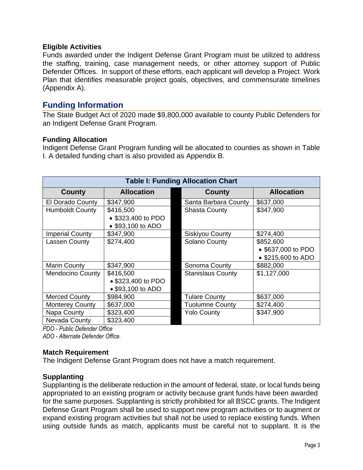#### **Eligible Activities**

Funds awarded under the Indigent Defense Grant Program must be utilized to address the staffing, training, case management needs, or other attorney support of Public Defender Offices. In support of these efforts, each applicant will develop a Project Work Plan that identifies measurable project goals, objectives, and commensurate timelines (Appendix A).

#### <span id="page-4-0"></span>**Funding Information**

The State Budget Act of 2020 made \$9,800,000 available to county Public Defenders for an Indigent Defense Grant Program.

#### **Funding Allocation**

Indigent Defense Grant Program funding will be allocated to counties as shown in Table I. A detailed funding chart is also provided as Appendix B.

| <b>Table I: Funding Allocation Chart</b> |                                         |  |                          |                    |  |
|------------------------------------------|-----------------------------------------|--|--------------------------|--------------------|--|
| <b>County</b>                            | <b>Allocation</b>                       |  | <b>County</b>            | <b>Allocation</b>  |  |
| El Dorado County                         | \$347,900                               |  | Santa Barbara County     | \$637,000          |  |
| <b>Humboldt County</b>                   | \$416,500                               |  | <b>Shasta County</b>     | \$347,900          |  |
|                                          | • \$323,400 to PDO<br>• \$93,100 to ADO |  |                          |                    |  |
| <b>Imperial County</b>                   | \$347,900                               |  | <b>Siskiyou County</b>   | \$274,400          |  |
| <b>Lassen County</b>                     | \$274,400                               |  | Solano County            | \$852,600          |  |
|                                          |                                         |  |                          | • \$637,000 to PDO |  |
|                                          |                                         |  |                          | • \$215,600 to ADO |  |
| <b>Marin County</b>                      | \$347,900                               |  | Sonoma County            | \$882,000          |  |
| <b>Mendocino County</b>                  | \$416,500                               |  | <b>Stanislaus County</b> | \$1,127,000        |  |
|                                          | • \$323,400 to PDO                      |  |                          |                    |  |
|                                          | • \$93,100 to ADO                       |  |                          |                    |  |
| <b>Merced County</b>                     | \$984,900                               |  | <b>Tulare County</b>     | \$637,000          |  |
| <b>Monterey County</b>                   | \$637,000                               |  | <b>Tuolumne County</b>   | \$274,400          |  |
| Napa County                              | \$323,400                               |  | <b>Yolo County</b>       | \$347,900          |  |
| Nevada County                            | \$323,400                               |  |                          |                    |  |

*PDO - Public Defender Office ADO - Alternate Defender Office.* 

#### **Match Requirement**

The Indigent Defense Grant Program does not have a match requirement.

#### **Supplanting**

Supplanting is the deliberate reduction in the amount of federal, state, or local funds being appropriated to an existing program or activity because grant funds have been awarded for the same purposes. Supplanting is strictly prohibited for all BSCC grants. The Indigent Defense Grant Program shall be used to support new program activities or to augment or expand existing program activities but shall not be used to replace existing funds. When using outside funds as match, applicants must be careful not to supplant. It is the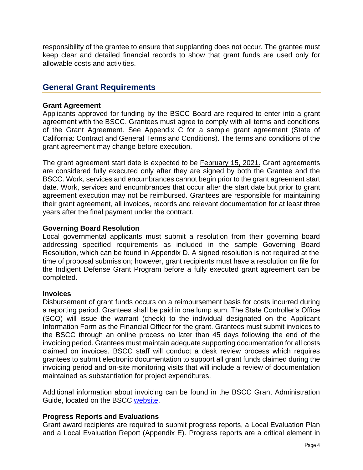responsibility of the grantee to ensure that supplanting does not occur. The grantee must keep clear and detailed financial records to show that grant funds are used only for allowable costs and activities.

#### <span id="page-5-0"></span>**General Grant Requirements**

#### **Grant Agreement**

Applicants approved for funding by the BSCC Board are required to enter into a grant agreement with the BSCC. Grantees must agree to comply with all terms and conditions of the Grant Agreement. See Appendix C for a sample grant agreement (State of California: Contract and General Terms and Conditions). The terms and conditions of the grant agreement may change before execution.

The grant agreement start date is expected to be February 15, 2021. Grant agreements are considered fully executed only after they are signed by both the Grantee and the BSCC. Work, services and encumbrances cannot begin prior to the grant agreement start date. Work, services and encumbrances that occur after the start date but prior to grant agreement execution may not be reimbursed. Grantees are responsible for maintaining their grant agreement, all invoices, records and relevant documentation for at least three years after the final payment under the contract.

#### **Governing Board Resolution**

Local governmental applicants must submit a resolution from their governing board addressing specified requirements as included in the sample Governing Board Resolution, which can be found in Appendix D. A signed resolution is not required at the time of proposal submission; however, grant recipients must have a resolution on file for the Indigent Defense Grant Program before a fully executed grant agreement can be completed.

#### **Invoices**

Disbursement of grant funds occurs on a reimbursement basis for costs incurred during a reporting period. Grantees shall be paid in one lump sum. The State Controller's Office (SCO) will issue the warrant (check) to the individual designated on the Applicant Information Form as the Financial Officer for the grant. Grantees must submit invoices to the BSCC through an online process no later than 45 days following the end of the invoicing period. Grantees must maintain adequate supporting documentation for all costs claimed on invoices. BSCC staff will conduct a desk review process which requires grantees to submit electronic documentation to support all grant funds claimed during the invoicing period and on-site monitoring visits that will include a review of documentation maintained as substantiation for project expenditures.

Additional information about invoicing can be found in the BSCC Grant Administration Guide, located on the BSCC [website.](http://www.bscc.ca.gov/wp-content/uploads/BSCC-Grant-Admin-Guide-July-2020-Final.pdf)

#### **Progress Reports and Evaluations**

Grant award recipients are required to submit progress reports, a Local Evaluation Plan and a Local Evaluation Report (Appendix E). Progress reports are a critical element in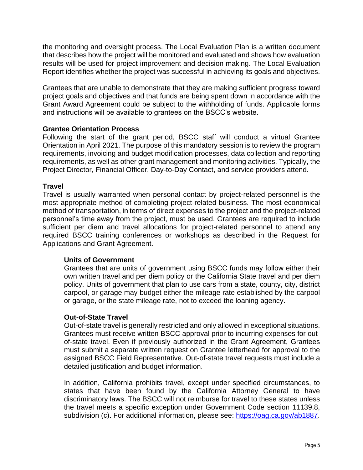the monitoring and oversight process. The Local Evaluation Plan is a written document that describes how the project will be monitored and evaluated and shows how evaluation results will be used for project improvement and decision making. The Local Evaluation Report identifies whether the project was successful in achieving its goals and objectives.

Grantees that are unable to demonstrate that they are making sufficient progress toward project goals and objectives and that funds are being spent down in accordance with the Grant Award Agreement could be subject to the withholding of funds. Applicable forms and instructions will be available to grantees on the BSCC's website.

#### **Grantee Orientation Process**

Following the start of the grant period, BSCC staff will conduct a virtual Grantee Orientation in April 2021. The purpose of this mandatory session is to review the program requirements, invoicing and budget modification processes, data collection and reporting requirements, as well as other grant management and monitoring activities. Typically, the Project Director, Financial Officer, Day-to-Day Contact, and service providers attend.

#### **Travel**

Travel is usually warranted when personal contact by project-related personnel is the most appropriate method of completing project-related business. The most economical method of transportation, in terms of direct expenses to the project and the project-related personnel's time away from the project, must be used. Grantees are required to include sufficient per diem and travel allocations for project-related personnel to attend any required BSCC training conferences or workshops as described in the Request for Applications and Grant Agreement.

#### **Units of Government**

Grantees that are units of government using BSCC funds may follow either their own written travel and per diem policy or the California State travel and per diem policy. Units of government that plan to use cars from a state, county, city, district carpool, or garage may budget either the mileage rate established by the carpool or garage, or the state mileage rate, not to exceed the loaning agency.

#### **Out-of-State Travel**

Out-of-state travel is generally restricted and only allowed in exceptional situations. Grantees must receive written BSCC approval prior to incurring expenses for outof-state travel. Even if previously authorized in the Grant Agreement, Grantees must submit a separate written request on Grantee letterhead for approval to the assigned BSCC Field Representative. Out-of-state travel requests must include a detailed justification and budget information.

In addition, California prohibits travel, except under specified circumstances, to states that have been found by the California Attorney General to have discriminatory laws. The BSCC will not reimburse for travel to these states unless the travel meets a specific exception under Government Code section 11139.8, subdivision (c). For additional information, please see: [https://oag.ca.gov/ab1887.](https://oag.ca.gov/ab1887)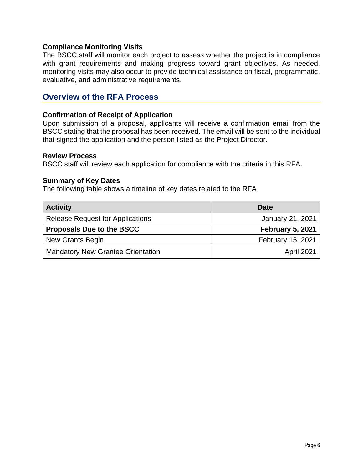#### **Compliance Monitoring Visits**

The BSCC staff will monitor each project to assess whether the project is in compliance with grant requirements and making progress toward grant objectives. As needed, monitoring visits may also occur to provide technical assistance on fiscal, programmatic, evaluative, and administrative requirements.

#### <span id="page-7-0"></span>**Overview of the RFA Process**

#### **Confirmation of Receipt of Application**

Upon submission of a proposal, applicants will receive a confirmation email from the BSCC stating that the proposal has been received. The email will be sent to the individual that signed the application and the person listed as the Project Director.

#### **Review Process**

BSCC staff will review each application for compliance with the criteria in this RFA.

#### **Summary of Key Dates**

The following table shows a timeline of key dates related to the RFA

| <b>Activity</b>                          | Date                    |
|------------------------------------------|-------------------------|
| <b>Release Request for Applications</b>  | <b>January 21, 2021</b> |
| <b>Proposals Due to the BSCC</b>         | <b>February 5, 2021</b> |
| <b>New Grants Begin</b>                  | February 15, 2021       |
| <b>Mandatory New Grantee Orientation</b> | April 2021              |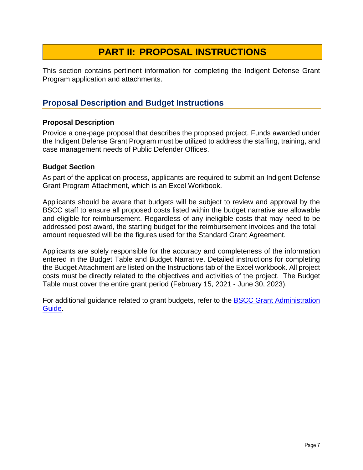### **PART II: PROPOSAL INSTRUCTIONS**

<span id="page-8-0"></span>This section contains pertinent information for completing the Indigent Defense Grant Program application and attachments.

#### <span id="page-8-1"></span>**Proposal Description and Budget Instructions**

#### **Proposal Description**

Provide a one-page proposal that describes the proposed project. Funds awarded under the Indigent Defense Grant Program must be utilized to address the staffing, training, and case management needs of Public Defender Offices.

#### **Budget Section**

As part of the application process, applicants are required to submit an Indigent Defense Grant Program Attachment, which is an Excel Workbook.

Applicants should be aware that budgets will be subject to review and approval by the BSCC staff to ensure all proposed costs listed within the budget narrative are allowable and eligible for reimbursement. Regardless of any ineligible costs that may need to be addressed post award, the starting budget for the reimbursement invoices and the total amount requested will be the figures used for the Standard Grant Agreement.

Applicants are solely responsible for the accuracy and completeness of the information entered in the Budget Table and Budget Narrative. Detailed instructions for completing the Budget Attachment are listed on the Instructions tab of the Excel workbook. All project costs must be directly related to the objectives and activities of the project. The Budget Table must cover the entire grant period (February 15, 2021 - June 30, 2023).

For additional guidance related to grant budgets, refer to the [BSCC Grant Administration](http://www.bscc.ca.gov/wp-content/uploads/BSCC-Grant-Admin-Guide-July-2020-Final.pdf)  [Guide.](http://www.bscc.ca.gov/wp-content/uploads/BSCC-Grant-Admin-Guide-July-2020-Final.pdf)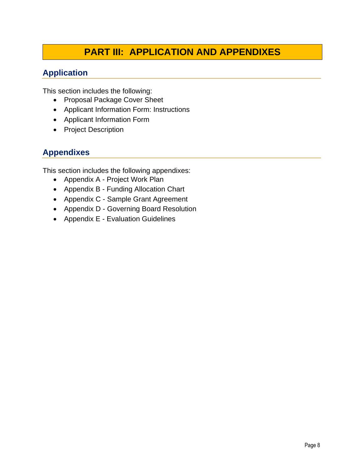### **PART III: APPLICATION AND APPENDIXES**

### <span id="page-9-0"></span>**Application**

This section includes the following:

- Proposal Package Cover Sheet
- Applicant Information Form: Instructions
- Applicant Information Form
- Project Description

### **Appendixes**

This section includes the following appendixes:

- Appendix A Project Work Plan
- Appendix B Funding Allocation Chart
- Appendix C Sample Grant Agreement
- Appendix D Governing Board Resolution
- Appendix E Evaluation Guidelines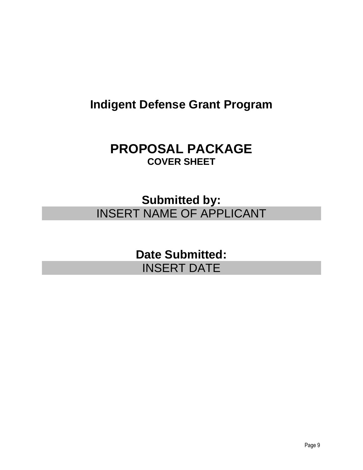## **Indigent Defense Grant Program**

## **PROPOSAL PACKAGE COVER SHEET**

## **Submitted by:** INSERT NAME OF APPLICANT

**Date Submitted:** INSERT DATE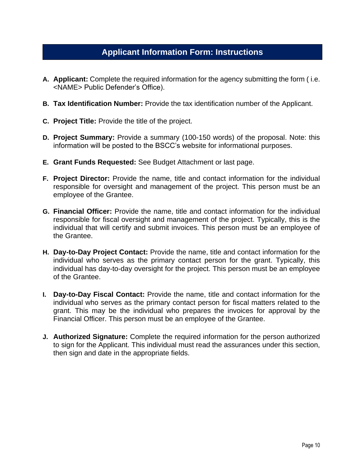#### **Applicant Information Form: Instructions**

- **A. Applicant:** Complete the required information for the agency submitting the form ( i.e. <NAME> Public Defender's Office).
- **B. Tax Identification Number:** Provide the tax identification number of the Applicant.
- **C. Project Title:** Provide the title of the project.
- **D. Project Summary:** Provide a summary (100-150 words) of the proposal. Note: this information will be posted to the BSCC's website for informational purposes.
- **E. Grant Funds Requested:** See Budget Attachment or last page.
- **F. Project Director:** Provide the name, title and contact information for the individual responsible for oversight and management of the project. This person must be an employee of the Grantee.
- **G. Financial Officer:** Provide the name, title and contact information for the individual responsible for fiscal oversight and management of the project. Typically, this is the individual that will certify and submit invoices. This person must be an employee of the Grantee.
- **H. Day-to-Day Project Contact:** Provide the name, title and contact information for the individual who serves as the primary contact person for the grant. Typically, this individual has day-to-day oversight for the project. This person must be an employee of the Grantee.
- **I. Day-to-Day Fiscal Contact:** Provide the name, title and contact information for the individual who serves as the primary contact person for fiscal matters related to the grant. This may be the individual who prepares the invoices for approval by the Financial Officer. This person must be an employee of the Grantee.
- **J. Authorized Signature:** Complete the required information for the person authorized to sign for the Applicant. This individual must read the assurances under this section, then sign and date in the appropriate fields.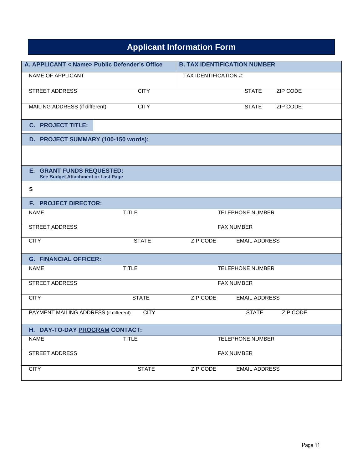## **Applicant Information Form**

<span id="page-12-0"></span>

| A. APPLICANT < Name> Public Defender's Office                   |              | <b>B. TAX IDENTIFICATION NUMBER</b> |                         |                 |
|-----------------------------------------------------------------|--------------|-------------------------------------|-------------------------|-----------------|
| <b>NAME OF APPLICANT</b>                                        |              | <b>TAX IDENTIFICATION #:</b>        |                         |                 |
| <b>STREET ADDRESS</b>                                           | <b>CITY</b>  |                                     | <b>STATE</b>            | ZIP CODE        |
| MAILING ADDRESS (if different)                                  | <b>CITY</b>  |                                     | <b>STATE</b>            | ZIP CODE        |
| <b>C. PROJECT TITLE:</b>                                        |              |                                     |                         |                 |
| D. PROJECT SUMMARY (100-150 words):                             |              |                                     |                         |                 |
|                                                                 |              |                                     |                         |                 |
| E. GRANT FUNDS REQUESTED:<br>See Budget Attachment or Last Page |              |                                     |                         |                 |
| \$                                                              |              |                                     |                         |                 |
| <b>F. PROJECT DIRECTOR:</b>                                     |              |                                     |                         |                 |
| <b>NAME</b>                                                     | <b>TITLE</b> |                                     | <b>TELEPHONE NUMBER</b> |                 |
| <b>STREET ADDRESS</b>                                           |              |                                     | <b>FAX NUMBER</b>       |                 |
| <b>CITY</b>                                                     | <b>STATE</b> | <b>ZIP CODE</b>                     | <b>EMAIL ADDRESS</b>    |                 |
| <b>G. FINANCIAL OFFICER:</b>                                    |              |                                     |                         |                 |
| <b>NAME</b>                                                     | <b>TITLE</b> |                                     | <b>TELEPHONE NUMBER</b> |                 |
| STREET ADDRESS                                                  |              |                                     | <b>FAX NUMBER</b>       |                 |
| <b>CITY</b>                                                     | <b>STATE</b> | ZIP CODE                            | <b>EMAIL ADDRESS</b>    |                 |
| PAYMENT MAILING ADDRESS (if different)                          | <b>CITY</b>  |                                     | <b>STATE</b>            | <b>ZIP CODE</b> |
| H. DAY-TO-DAY PROGRAM CONTACT:                                  |              |                                     |                         |                 |
| <b>NAME</b>                                                     | <b>TITLE</b> |                                     | TELEPHONE NUMBER        |                 |
| <b>STREET ADDRESS</b>                                           |              |                                     | <b>FAX NUMBER</b>       |                 |
| <b>CITY</b>                                                     | <b>STATE</b> | <b>ZIP CODE</b>                     | <b>EMAIL ADDRESS</b>    |                 |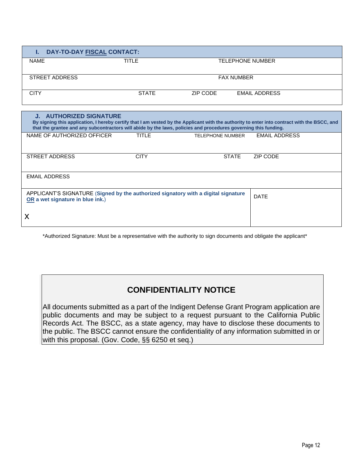| <b>DAY-TO-DAY FISCAL CONTACT:</b> |              |          |                         |  |
|-----------------------------------|--------------|----------|-------------------------|--|
| <b>NAME</b>                       | TITLE        |          | <b>TELEPHONE NUMBER</b> |  |
| <b>STREET ADDRESS</b>             |              |          | <b>FAX NUMBER</b>       |  |
| <b>CITY</b>                       | <b>STATE</b> | ZIP CODE | <b>EMAIL ADDRESS</b>    |  |

| <b>J. AUTHORIZED SIGNATURE</b><br>that the grantee and any subcontractors will abide by the laws, policies and procedures governing this funding. |        |                  | By signing this application, I hereby certify that I am vested by the Applicant with the authority to enter into contract with the BSCC, and |
|---------------------------------------------------------------------------------------------------------------------------------------------------|--------|------------------|----------------------------------------------------------------------------------------------------------------------------------------------|
| NAME OF AUTHORIZED OFFICER                                                                                                                        | TITLE. | TELEPHONE NUMBER | EMAIL ADDRESS                                                                                                                                |
| STREET ADDRESS                                                                                                                                    | CITY   | <b>STATE</b>     | ZIP CODE                                                                                                                                     |
| <b>EMAIL ADDRESS</b>                                                                                                                              |        |                  |                                                                                                                                              |
| APPLICANT'S SIGNATURE (Signed by the authorized signatory with a digital signature<br>OR a wet signature in blue ink.)                            |        |                  | <b>DATE</b>                                                                                                                                  |
|                                                                                                                                                   |        |                  |                                                                                                                                              |

\*Authorized Signature: Must be a representative with the authority to sign documents and obligate the applicant\*

#### **CONFIDENTIALITY NOTICE**

All documents submitted as a part of the Indigent Defense Grant Program application are public documents and may be subject to a request pursuant to the California Public Records Act. The BSCC, as a state agency, may have to disclose these documents to the public. The BSCC cannot ensure the confidentiality of any information submitted in or with this proposal. (Gov. Code, §§ 6250 et seq.)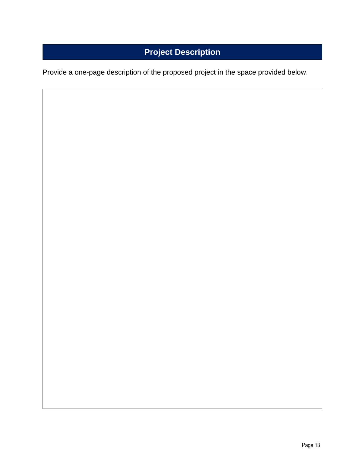### **Project Description**

<span id="page-14-0"></span>Provide a one-page description of the proposed project in the space provided below.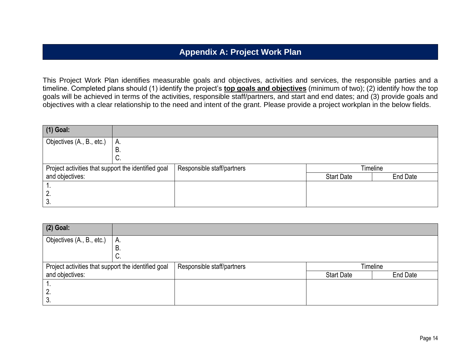### **Appendix A: Project Work Plan**

This Project Work Plan identifies measurable goals and objectives, activities and services, the responsible parties and a timeline. Completed plans should (1) identify the project's **top goals and objectives** (minimum of two); (2) identify how the top goals will be achieved in terms of the activities, responsible staff/partners, and start and end dates; and (3) provide goals and objectives with a clear relationship to the need and intent of the grant. Please provide a project workplan in the below fields.

<span id="page-15-0"></span>

| $(1)$ Goal:                                         |          |                            |                   |          |
|-----------------------------------------------------|----------|----------------------------|-------------------|----------|
| Objectives (A., B., etc.)                           | А.<br>В. |                            |                   |          |
|                                                     | C.       |                            |                   |          |
| Project activities that support the identified goal |          | Responsible staff/partners | Timeline          |          |
| and objectives:                                     |          |                            | <b>Start Date</b> | End Date |
|                                                     |          |                            |                   |          |
| $\mathbf{2}$                                        |          |                            |                   |          |
| າ<br>J.                                             |          |                            |                   |          |

| (2) Goal:                                           |    |                            |                   |                 |
|-----------------------------------------------------|----|----------------------------|-------------------|-----------------|
| Objectives (A., B., etc.)                           | A. |                            |                   |                 |
|                                                     | В. |                            |                   |                 |
|                                                     | C. |                            |                   |                 |
| Project activities that support the identified goal |    | Responsible staff/partners | Timeline          |                 |
| and objectives:                                     |    |                            | <b>Start Date</b> | <b>End Date</b> |
|                                                     |    |                            |                   |                 |
| 2.                                                  |    |                            |                   |                 |
| ົ<br>J.                                             |    |                            |                   |                 |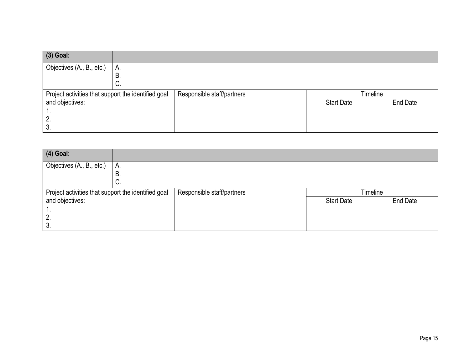| $(3)$ Goal:                                         |                |                            |                   |          |
|-----------------------------------------------------|----------------|----------------------------|-------------------|----------|
| Objectives (A., B., etc.)                           | A.<br>В.<br>C. |                            |                   |          |
| Project activities that support the identified goal |                | Responsible staff/partners |                   | Timeline |
| and objectives:                                     |                |                            | <b>Start Date</b> | End Date |
|                                                     |                |                            |                   |          |
| 2.                                                  |                |                            |                   |          |
| .ა                                                  |                |                            |                   |          |

| (4) Goal:                                           |                       |                            |                   |          |
|-----------------------------------------------------|-----------------------|----------------------------|-------------------|----------|
| Objectives (A., B., etc.)                           | A.<br><b>B.</b><br>C. |                            |                   |          |
| Project activities that support the identified goal |                       | Responsible staff/partners |                   | Timeline |
| and objectives:                                     |                       |                            | <b>Start Date</b> | End Date |
|                                                     |                       |                            |                   |          |
| $\mathcal{L}$                                       |                       |                            |                   |          |
| O.                                                  |                       |                            |                   |          |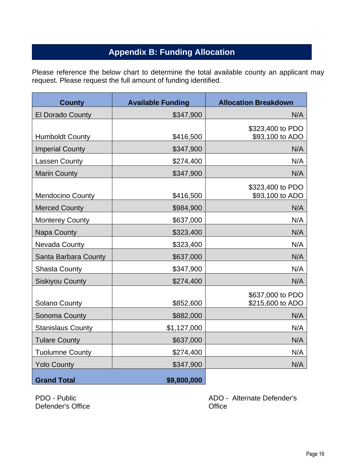### **Appendix B: Funding Allocation**

<span id="page-17-0"></span>Please reference the below chart to determine the total available county an applicant may request. Please request the full amount of funding identified.

| <b>County</b>            | <b>Available Funding</b> | <b>Allocation Breakdown</b>          |
|--------------------------|--------------------------|--------------------------------------|
| <b>El Dorado County</b>  | \$347,900                | N/A                                  |
| <b>Humboldt County</b>   | \$416,500                | \$323,400 to PDO<br>\$93,100 to ADO  |
| <b>Imperial County</b>   | \$347,900                | N/A                                  |
| <b>Lassen County</b>     | \$274,400                | N/A                                  |
| <b>Marin County</b>      | \$347,900                | N/A                                  |
| <b>Mendocino County</b>  | \$416,500                | \$323,400 to PDO<br>\$93,100 to ADO  |
| <b>Merced County</b>     | \$984,900                | N/A                                  |
| <b>Monterey County</b>   | \$637,000                | N/A                                  |
| Napa County              | \$323,400                | N/A                                  |
| Nevada County            | \$323,400                | N/A                                  |
| Santa Barbara County     | \$637,000                | N/A                                  |
| <b>Shasta County</b>     | \$347,900                | N/A                                  |
| <b>Siskiyou County</b>   | \$274,400                | N/A                                  |
| <b>Solano County</b>     | \$852,600                | \$637,000 to PDO<br>\$215,600 to ADO |
| Sonoma County            | \$882,000                | N/A                                  |
| <b>Stanislaus County</b> | \$1,127,000              | N/A                                  |
| <b>Tulare County</b>     | \$637,000                | N/A                                  |
| <b>Tuolumne County</b>   | \$274,400                | N/A                                  |
| <b>Yolo County</b>       | \$347,900                | N/A                                  |
| <b>Grand Total</b>       | \$9,800,000              |                                      |

PDO - Public Defender's Office ADO - Alternate Defender's **Office**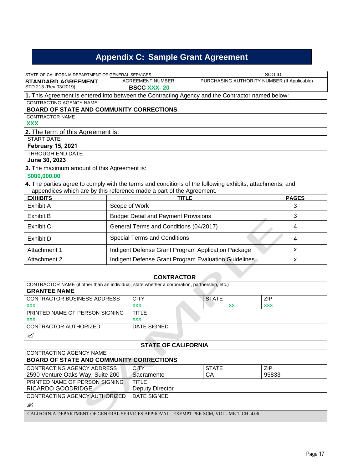### **Appendix C: Sample Grant Agreement**

<span id="page-18-0"></span>

| STATE OF CALIFORNIA DEPARTMENT OF GENERAL SERVICES |                                                                                                                                                                                  |                                             | SCO ID:      |
|----------------------------------------------------|----------------------------------------------------------------------------------------------------------------------------------------------------------------------------------|---------------------------------------------|--------------|
| <b>STANDARD AGREEMENT</b><br>STD 213 (Rev 03/2019) | <b>AGREEMENT NUMBER</b><br><b>BSCC XXX-20</b>                                                                                                                                    | PURCHASING AUTHORITY NUMBER (If Applicable) |              |
|                                                    | 1. This Agreement is entered into between the Contracting Agency and the Contractor named below:                                                                                 |                                             |              |
| CONTRACTING AGENCY NAME                            |                                                                                                                                                                                  |                                             |              |
| <b>BOARD OF STATE AND COMMUNITY CORRECTIONS</b>    |                                                                                                                                                                                  |                                             |              |
| <b>CONTRACTOR NAME</b>                             |                                                                                                                                                                                  |                                             |              |
| <b>XXX</b>                                         |                                                                                                                                                                                  |                                             |              |
| <b>2.</b> The term of this Agreement is:           |                                                                                                                                                                                  |                                             |              |
| <b>START DATE</b>                                  |                                                                                                                                                                                  |                                             |              |
| <b>February 15, 2021</b>                           |                                                                                                                                                                                  |                                             |              |
| <b>THROUGH END DATE</b><br>June 30, 2023           |                                                                                                                                                                                  |                                             |              |
| <b>3.</b> The maximum amount of this Agreement is: |                                                                                                                                                                                  |                                             |              |
| \$000,000.00                                       |                                                                                                                                                                                  |                                             |              |
|                                                    | 4. The parties agree to comply with the terms and conditions of the following exhibits, attachments, and<br>appendices which are by this reference made a part of the Agreement. |                                             |              |
| <b>EXHIBITS</b>                                    | <b>TITLE</b>                                                                                                                                                                     |                                             | <b>PAGES</b> |
| Exhibit A                                          | Scope of Work                                                                                                                                                                    |                                             | 3            |
| Exhibit B                                          | <b>Budget Detail and Payment Provisions</b>                                                                                                                                      |                                             | 3            |
| Exhibit C                                          | General Terms and Conditions (04/2017)                                                                                                                                           |                                             | 4            |
| Exhibit D                                          | <b>Special Terms and Conditions</b>                                                                                                                                              |                                             | 4            |
| Attachment 1                                       | Indigent Defense Grant Program Application Package                                                                                                                               |                                             | X            |
| Attachment 2                                       | Indigent Defense Grant Program Evaluation Guidelines                                                                                                                             |                                             | X            |

#### **CONTRACTOR**

CONTRACTOR NAME (if other than an individual, state whether a corporation, partnership, etc.)

#### **GRANTEE NAME**

| CONTRACTOR BUSINESS ADDRESS    | <b>CITY</b>  | <b>STATE</b> | <b>ZIP</b> |
|--------------------------------|--------------|--------------|------------|
| <b>XXX</b>                     | <b>XXX</b>   | XХ           | <b>XXX</b> |
| PRINTED NAME OF PERSON SIGNING | <b>TITLE</b> |              |            |
| <b>XXX</b>                     | <b>XXX</b>   |              |            |
| CONTRACTOR AUTHORIZED          | DATE SIGNED  |              |            |
| ⅇ                              |              |              |            |

#### **STATE OF CALIFORNIA**

#### CONTRACTING AGENCY NAME **BOARD OF STATE AND COMMUNITY CORRECTIONS**

| CONTRACTING AGENCY ADDRESS                                                             | <b>CITY</b>     | <b>STATE</b> | <b>ZIP</b> |
|----------------------------------------------------------------------------------------|-----------------|--------------|------------|
| 2590 Venture Oaks Way, Suite 200                                                       | Sacramento      | CА           | 95833      |
| PRINTED NAME OF PERSON SIGNING                                                         | TITLE.          |              |            |
| RICARDO GOODRIDGE                                                                      | Deputy Director |              |            |
| CONTRACTING AGENCY AUTHORIZED                                                          | DATE SIGNED     |              |            |
| ✍                                                                                      |                 |              |            |
| CALIFORNIA DEPARTMENT OF GENERAL SERVICES APPROVAL: EXEMPT PER SCM, VOLUME 1, CH. 4.06 |                 |              |            |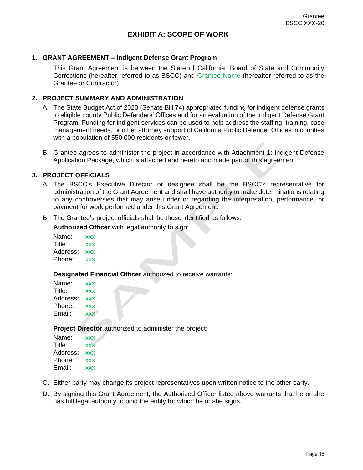#### **EXHIBIT A: SCOPE OF WORK**

#### **1. GRANT AGREEMENT – Indigent Defense Grant Program**

This Grant Agreement is between the State of California, Board of State and Community Corrections (hereafter referred to as BSCC) and Grantee Name (hereafter referred to as the Grantee or Contractor).

#### **2. PROJECT SUMMARY AND ADMINISTRATION**

- A. The State Budget Act of 2020 (Senate Bill 74) appropriated funding for indigent defense grants to eligible county Public Defenders' Offices and for an evaluation of the Indigent Defense Grant Program. Funding for indigent services can be used to help address the staffing, training, case management needs, or other attorney support of California Public Defender Offices in counties with a population of 550,000 residents or fewer.
- B. Grantee agrees to administer the project in accordance with Attachment 1: Indigent Defense Application Package, which is attached and hereto and made part of this agreement.

#### **3. PROJECT OFFICIALS**

- A. The BSCC's Executive Director or designee shall be the BSCC's representative for administration of the Grant Agreement and shall have authority to make determinations relating to any controversies that may arise under or regarding the interpretation, performance, or payment for work performed under this Grant Agreement.
- B. The Grantee's project officials shall be those identified as follows:

**Authorized Officer** with legal authority to sign:

| Name:    | XXX        |
|----------|------------|
| Title:   | <b>XXX</b> |
| Address: | xxx        |
| Phone:   | xxx        |

**Designated Financial Officer** authorized to receive warrants:

| Name:    | <b>XXX</b> |
|----------|------------|
| Title:   | <b>XXX</b> |
| Address: | <b>XXX</b> |
| Phone:   | <b>XXX</b> |
| Email:   | <b>XXX</b> |
|          |            |

**Project Director** authorized to administer the project:

| Name:    | <b>XXX</b> |
|----------|------------|
| Title:   | <b>XXX</b> |
| Address: | <b>XXX</b> |
| Phone:   | <b>XXX</b> |
| Email:   | <b>XXX</b> |

- C. Either party may change its project representatives upon written notice to the other party.
- D. By signing this Grant Agreement, the Authorized Officer listed above warrants that he or she has full legal authority to bind the entity for which he or she signs.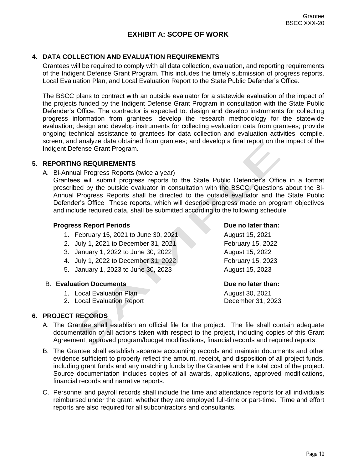#### **EXHIBIT A: SCOPE OF WORK**

#### **4. DATA COLLECTION AND EVALUATION REQUIREMENTS**

Grantees will be required to comply with all data collection, evaluation, and reporting requirements of the Indigent Defense Grant Program. This includes the timely submission of progress reports, Local Evaluation Plan, and Local Evaluation Report to the State Public Defender's Office.

The BSCC plans to contract with an outside evaluator for a statewide evaluation of the impact of the projects funded by the Indigent Defense Grant Program in consultation with the State Public Defender's Office. The contractor is expected to: design and develop instruments for collecting progress information from grantees; develop the research methodology for the statewide evaluation; design and develop instruments for collecting evaluation data from grantees; provide ongoing technical assistance to grantees for data collection and evaluation activities; compile, screen, and analyze data obtained from grantees; and develop a final report on the impact of the Indigent Defense Grant Program.

#### **5. REPORTING REQUIREMENTS**

#### A. Bi-Annual Progress Reports (twice a year)

Grantees will submit progress reports to the State Public Defender's Office in a format prescribed by the outside evaluator in consultation with the BSCC. Questions about the Bi-Annual Progress Reports shall be directed to the outside evaluator and the State Public Defender's Office These reports, which will describe progress made on program objectives and include required data, shall be submitted according to the following schedule

#### **Progress Report Periods 6 Due no later than:**

- 1. February 15, 2021 to June 30, 2021 August 15, 2021
- 2. July 1, 2021 to December 31, 2021 February 15, 2022
- 3. January 1, 2022 to June 30, 2022 **August 15, 2022**
- 4. July 1, 2022 to December 31, 2022 February 15, 2023
- 5. January 1, 2023 to June 30, 2023 August 15, 2023

#### **B.** Evaluation Documents **Due no later than:**

- 1. Local Evaluation Plan August 30, 2021
- 2. Local Evaluation Report December 31, 2023

#### **6. PROJECT RECORDS**

- A. The Grantee shall establish an official file for the project. The file shall contain adequate documentation of all actions taken with respect to the project, including copies of this Grant Agreement, approved program/budget modifications, financial records and required reports.
- B. The Grantee shall establish separate accounting records and maintain documents and other evidence sufficient to properly reflect the amount, receipt, and disposition of all project funds, including grant funds and any matching funds by the Grantee and the total cost of the project. Source documentation includes copies of all awards, applications, approved modifications, financial records and narrative reports.
- C. Personnel and payroll records shall include the time and attendance reports for all individuals reimbursed under the grant, whether they are employed full-time or part-time. Time and effort reports are also required for all subcontractors and consultants.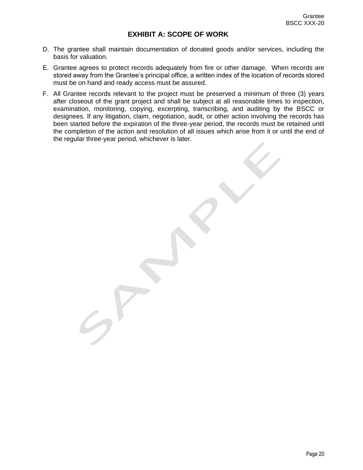#### **EXHIBIT A: SCOPE OF WORK**

- D. The grantee shall maintain documentation of donated goods and/or services, including the basis for valuation.
- E. Grantee agrees to protect records adequately from fire or other damage. When records are stored away from the Grantee's principal office, a written index of the location of records stored must be on hand and ready access must be assured.
- F. All Grantee records relevant to the project must be preserved a minimum of three (3) years after closeout of the grant project and shall be subject at all reasonable times to inspection, examination, monitoring, copying, excerpting, transcribing, and auditing by the BSCC or designees. If any litigation, claim, negotiation, audit, or other action involving the records has been started before the expiration of the three-year period, the records must be retained until the completion of the action and resolution of all issues which arise from it or until the end of the regular three-year period, whichever is later.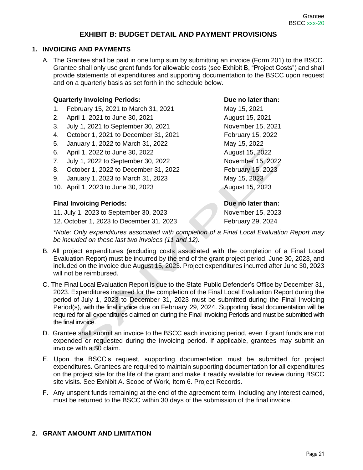#### **EXHIBIT B: BUDGET DETAIL AND PAYMENT PROVISIONS**

#### **1. INVOICING AND PAYMENTS**

A. The Grantee shall be paid in one lump sum by submitting an invoice (Form 201) to the BSCC. Grantee shall only use grant funds for allowable costs (see Exhibit B, "Project Costs") and shall provide statements of expenditures and supporting documentation to the BSCC upon request and on a quarterly basis as set forth in the schedule below.

#### **Quarterly Invoicing Periods: Due no later than: Due no later than:**

- 1. February 15, 2021 to March 31, 2021 May 15, 2021
- 2. April 1, 2021 to June 30, 2021 August 15, 2021
- 3. July 1, 2021 to September 30, 2021 November 15, 2021
- 4. October 1, 2021 to December 31, 2021 February 15, 2022
- 5. January 1, 2022 to March 31, 2022 May 15, 2022
- 6. April 1, 2022 to June 30, 2022 **August 15, 2022**
- 7. July 1, 2022 to September 30, 2022 November 15, 2022
- 8. October 1, 2022 to December 31, 2022 February 15, 2023
- 9. January 1, 2023 to March 31, 2023 May 15, 2023
- 10. April 1, 2023 to June 30, 2023 August 15, 2023

#### **Final Invoicing Periods: Due no later than:**

11. July 1, 2023 to September 30, 2023 November 15, 2023

12. October 1, 2023 to December 31, 2023 February 29, 2024

*\*Note: Only expenditures associated with completion of a Final Local Evaluation Report may be included on these last two invoices (11 and 12).*

- B. All project expenditures (excluding costs associated with the completion of a Final Local Evaluation Report) must be incurred by the end of the grant project period, June 30, 2023, and included on the invoice due August 15, 2023. Project expenditures incurred after June 30, 2023 will not be reimbursed.
- C. The Final Local Evaluation Report is due to the State Public Defender's Office by December 31, 2023. Expenditures incurred for the completion of the Final Local Evaluation Report during the period of July 1, 2023 to December 31, 2023 must be submitted during the Final Invoicing Period(s), with the final invoice due on February 29, 2024. Supporting fiscal documentation will be required for all expenditures claimed on during the Final Invoicing Periods and must be submitted with the final invoice.
- D. Grantee shall submit an invoice to the BSCC each invoicing period, even if grant funds are not expended or requested during the invoicing period. If applicable, grantees may submit an invoice with a \$0 claim.
- E. Upon the BSCC's request, supporting documentation must be submitted for project expenditures. Grantees are required to maintain supporting documentation for all expenditures on the project site for the life of the grant and make it readily available for review during BSCC site visits. See Exhibit A. Scope of Work, Item 6. Project Records.
- F. Any unspent funds remaining at the end of the agreement term, including any interest earned, must be returned to the BSCC within 30 days of the submission of the final invoice.

#### **2. GRANT AMOUNT AND LIMITATION**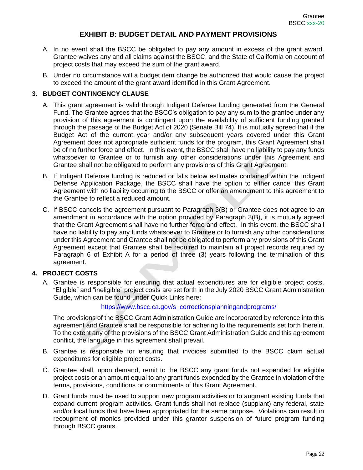#### **EXHIBIT B: BUDGET DETAIL AND PAYMENT PROVISIONS**

- A. In no event shall the BSCC be obligated to pay any amount in excess of the grant award. Grantee waives any and all claims against the BSCC, and the State of California on account of project costs that may exceed the sum of the grant award.
- B. Under no circumstance will a budget item change be authorized that would cause the project to exceed the amount of the grant award identified in this Grant Agreement.

#### **3. BUDGET CONTINGENCY CLAUSE**

- A. This grant agreement is valid through Indigent Defense funding generated from the General Fund. The Grantee agrees that the BSCC's obligation to pay any sum to the grantee under any provision of this agreement is contingent upon the availability of sufficient funding granted through the passage of the Budget Act of 2020 (Senate Bill 74). It is mutually agreed that if the Budget Act of the current year and/or any subsequent years covered under this Grant Agreement does not appropriate sufficient funds for the program, this Grant Agreement shall be of no further force and effect. In this event, the BSCC shall have no liability to pay any funds whatsoever to Grantee or to furnish any other considerations under this Agreement and Grantee shall not be obligated to perform any provisions of this Grant Agreement.
- B. If Indigent Defense funding is reduced or falls below estimates contained within the Indigent Defense Application Package, the BSCC shall have the option to either cancel this Grant Agreement with no liability occurring to the BSCC or offer an amendment to this agreement to the Grantee to reflect a reduced amount.
- C. If BSCC cancels the agreement pursuant to Paragraph 3(B) or Grantee does not agree to an amendment in accordance with the option provided by Paragraph 3(B), it is mutually agreed that the Grant Agreement shall have no further force and effect. In this event, the BSCC shall have no liability to pay any funds whatsoever to Grantee or to furnish any other considerations under this Agreement and Grantee shall not be obligated to perform any provisions of this Grant Agreement except that Grantee shall be required to maintain all project records required by Paragraph 6 of Exhibit A for a period of three (3) years following the termination of this agreement.

#### **4. PROJECT COSTS**

A. Grantee is responsible for ensuring that actual expenditures are for eligible project costs. "Eligible" and "ineligible" project costs are set forth in the July 2020 BSCC Grant Administration Guide, which can be found under Quick Links here:

[https://www.bscc.ca.gov/s\\_correctionsplanningandprograms/](https://www.bscc.ca.gov/s_correctionsplanningandprograms/)

The provisions of the BSCC Grant Administration Guide are incorporated by reference into this agreement and Grantee shall be responsible for adhering to the requirements set forth therein. To the extent any of the provisions of the BSCC Grant Administration Guide and this agreement conflict, the language in this agreement shall prevail.

- B. Grantee is responsible for ensuring that invoices submitted to the BSCC claim actual expenditures for eligible project costs.
- C. Grantee shall, upon demand, remit to the BSCC any grant funds not expended for eligible project costs or an amount equal to any grant funds expended by the Grantee in violation of the terms, provisions, conditions or commitments of this Grant Agreement.
- D. Grant funds must be used to support new program activities or to augment existing funds that expand current program activities. Grant funds shall not replace (supplant) any federal, state and/or local funds that have been appropriated for the same purpose. Violations can result in recoupment of monies provided under this grantor suspension of future program funding through BSCC grants.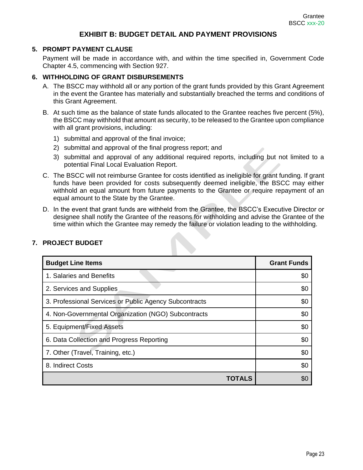#### **EXHIBIT B: BUDGET DETAIL AND PAYMENT PROVISIONS**

#### **5. PROMPT PAYMENT CLAUSE**

Payment will be made in accordance with, and within the time specified in, Government Code Chapter 4.5, commencing with Section 927.

#### **6. WITHHOLDING OF GRANT DISBURSEMENTS**

- A. The BSCC may withhold all or any portion of the grant funds provided by this Grant Agreement in the event the Grantee has materially and substantially breached the terms and conditions of this Grant Agreement.
- B. At such time as the balance of state funds allocated to the Grantee reaches five percent (5%), the BSCC may withhold that amount as security, to be released to the Grantee upon compliance with all grant provisions, including:
	- 1) submittal and approval of the final invoice;
	- 2) submittal and approval of the final progress report; and
	- 3) submittal and approval of any additional required reports, including but not limited to a potential Final Local Evaluation Report.
- C. The BSCC will not reimburse Grantee for costs identified as ineligible for grant funding. If grant funds have been provided for costs subsequently deemed ineligible, the BSCC may either withhold an equal amount from future payments to the Grantee or require repayment of an equal amount to the State by the Grantee.
- D. In the event that grant funds are withheld from the Grantee, the BSCC's Executive Director or designee shall notify the Grantee of the reasons for withholding and advise the Grantee of the time within which the Grantee may remedy the failure or violation leading to the withholding.

| <b>Budget Line Items</b>                               | <b>Grant Funds</b> |
|--------------------------------------------------------|--------------------|
| 1. Salaries and Benefits                               | \$0                |
| 2. Services and Supplies                               | \$0                |
| 3. Professional Services or Public Agency Subcontracts | \$0                |
| 4. Non-Governmental Organization (NGO) Subcontracts    | \$0                |
| 5. Equipment/Fixed Assets                              | \$0                |
| 6. Data Collection and Progress Reporting              | \$0                |
| 7. Other (Travel, Training, etc.)                      | \$0                |
| 8. Indirect Costs                                      | \$0                |
| TOTALS                                                 |                    |

#### **7. PROJECT BUDGET**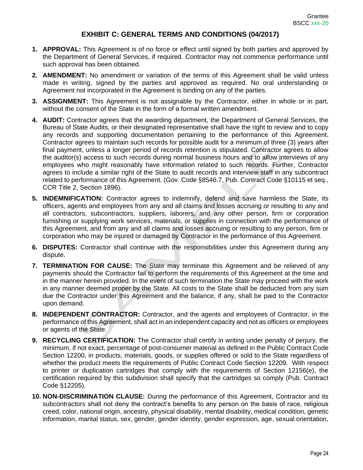- **1. APPROVAL:** This Agreement is of no force or effect until signed by both parties and approved by the Department of General Services, if required. Contractor may not commence performance until such approval has been obtained.
- **2. AMENDMENT:** No amendment or variation of the terms of this Agreement shall be valid unless made in writing, signed by the parties and approved as required. No oral understanding or Agreement not incorporated in the Agreement is binding on any of the parties.
- **3. ASSIGNMENT:** This Agreement is not assignable by the Contractor, either in whole or in part, without the consent of the State in the form of a formal written amendment.
- **4. AUDIT:** Contractor agrees that the awarding department, the Department of General Services, the Bureau of State Audits, or their designated representative shall have the right to review and to copy any records and supporting documentation pertaining to the performance of this Agreement. Contractor agrees to maintain such records for possible audit for a minimum of three (3) years after final payment, unless a longer period of records retention is stipulated. Contractor agrees to allow the auditor(s) access to such records during normal business hours and to allow interviews of any employees who might reasonably have information related to such records. Further, Contractor agrees to include a similar right of the State to audit records and interview staff in any subcontract related to performance of this Agreement. (Gov. Code §8546.7, Pub. Contract Code §10115 et seq., CCR Title 2, Section 1896).
- **5. INDEMNIFICATION:** Contractor agrees to indemnify, defend and save harmless the State, its officers, agents and employees from any and all claims and losses accruing or resulting to any and all contractors, subcontractors, suppliers, laborers, and any other person, firm or corporation furnishing or supplying work services, materials, or supplies in connection with the performance of this Agreement, and from any and all claims and losses accruing or resulting to any person, firm or corporation who may be injured or damaged by Contractor in the performance of this Agreement.
- **6. DISPUTES:** Contractor shall continue with the responsibilities under this Agreement during any dispute.
- **7. TERMINATION FOR CAUSE:** The State may terminate this Agreement and be relieved of any payments should the Contractor fail to perform the requirements of this Agreement at the time and in the manner herein provided. In the event of such termination the State may proceed with the work in any manner deemed proper by the State. All costs to the State shall be deducted from any sum due the Contractor under this Agreement and the balance, if any, shall be paid to the Contractor upon demand.
- **8. INDEPENDENT CONTRACTOR:** Contractor, and the agents and employees of Contractor, in the performance of this Agreement, shall act in an independent capacity and not as officers or employees or agents of the State.
- **9. RECYCLING CERTIFICATION:** The Contractor shall certify in writing under penalty of perjury, the minimum, if not exact, percentage of post-consumer material as defined in the Public Contract Code Section 12200, in products, materials, goods, or supplies offered or sold to the State regardless of whether the product meets the requirements of Public Contract Code Section 12209. With respect to printer or duplication cartridges that comply with the requirements of Section 12156(e), the certification required by this subdivision shall specify that the cartridges so comply (Pub. Contract Code §12205).
- **10. NON-DISCRIMINATION CLAUSE:** During the performance of this Agreement, Contractor and its subcontractor*s* shall not deny the contract's benefits to any person on the basis of race, religious creed, color, national origin, ancestry, physical disability, mental disability, medical condition, genetic information, marital status, sex, gender, gender identity, gender expression, age, sexual orientation,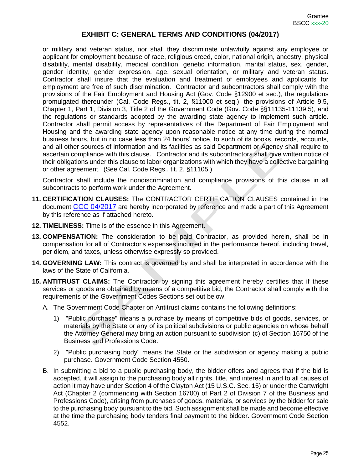or military and veteran status, nor shall they discriminate unlawfully against any employee or applicant for employment because of race, religious creed, color, national origin, ancestry, physical disability, mental disability, medical condition, genetic information, marital status, sex, gender, gender identity, gender expression, age, sexual orientation, or military and veteran status. Contractor shall insure that the evaluation and treatment of employees and applicants for employment are free of such discrimination. Contractor and subcontractors shall comply with the provision*s* of the Fair Employment and Housing Act (Gov. Code §12900 et seq.), the regulations promulgated thereunder (Cal. Code Regs., tit. 2, §11000 et seq.), the provisions of Article 9.5, Chapter 1, Part 1, Division 3, Title 2 of the Government Code (Gov. Code §§11135-11139.5), and the regulations or standards adopted by the awarding state agency to implement such article. Contractor shall permit access by representatives of the Department of Fair Employment and Housing and the awarding state agency upon reasonable notice at any time during the normal business hours, but in no case less than 24 hours' notice, to such of its books, records, accounts, and all other sources of information and its facilities as said Department or Agency shall require to ascertain compliance with this clause. Contractor and its subcontractor*s* shall give written notice of their obligations under this clause to labor organizations with which they have a collective bargaining or other agreement. (See Cal. Code Regs., tit. 2, §11105.)

Contractor shall include the nondiscrimination and compliance provisions of this clause in all subcontracts to perform work under the Agreement.

- **11. CERTIFICATION CLAUSES:** The CONTRACTOR CERTIFICATION CLAUSES contained in the document [CCC 04/2017](http://bscchomepageofh6i2avqeocm.usgovarizona.cloudapp.usgovcloudapi.net/ccc-042017-contractor-certification-clause/) are hereby incorporated by reference and made a part of this Agreement by this reference as if attached hereto.
- **12. TIMELINESS:** Time is of the essence in this Agreement.
- **13. COMPENSATION:** The consideration to be paid Contractor, as provided herein, shall be in compensation for all of Contractor's expenses incurred in the performance hereof, including travel, per diem, and taxes, unless otherwise expressly so provided.
- **14. GOVERNING LAW:** This contract is governed by and shall be interpreted in accordance with the laws of the State of California.
- **15. ANTITRUST CLAIMS:** The Contractor by signing this agreement hereby certifies that if these services or goods are obtained by means of a competitive bid, the Contractor shall comply with the requirements of the Government Codes Sections set out below.
	- A. The Government Code Chapter on Antitrust claims contains the following definitions:
		- 1) "Public purchase" means a purchase by means of competitive bids of goods, services, or materials by the State or any of its political subdivisions or public agencies on whose behalf the Attorney General may bring an action pursuant to subdivision (c) of Section 16750 of the Business and Professions Code.
		- 2) "Public purchasing body" means the State or the subdivision or agency making a public purchase. Government Code Section 4550.
	- B. In submitting a bid to a public purchasing body, the bidder offers and agrees that if the bid is accepted, it will assign to the purchasing body all rights, title, and interest in and to all causes of action it may have under Section 4 of the Clayton Act (15 U.S.C. Sec. 15) or under the Cartwright Act (Chapter 2 (commencing with Section 16700) of Part 2 of Division 7 of the Business and Professions Code), arising from purchases of goods, materials, or services by the bidder for sale to the purchasing body pursuant to the bid. Such assignment shall be made and become effective at the time the purchasing body tenders final payment to the bidder. Government Code Section 4552.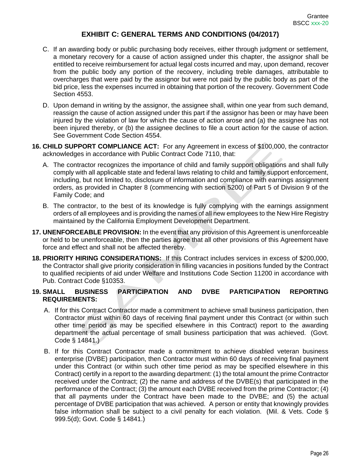- C. If an awarding body or public purchasing body receives, either through judgment or settlement, a monetary recovery for a cause of action assigned under this chapter, the assignor shall be entitled to receive reimbursement for actual legal costs incurred and may, upon demand, recover from the public body any portion of the recovery, including treble damages, attributable to overcharges that were paid by the assignor but were not paid by the public body as part of the bid price, less the expenses incurred in obtaining that portion of the recovery. Government Code Section 4553.
- D. Upon demand in writing by the assignor, the assignee shall, within one year from such demand, reassign the cause of action assigned under this part if the assignor has been or may have been injured by the violation of law for which the cause of action arose and (a) the assignee has not been injured thereby, or (b) the assignee declines to file a court action for the cause of action. See Government Code Section 4554.
- **16. CHILD SUPPORT COMPLIANCE ACT:** For any Agreement in excess of \$100,000, the contractor acknowledges in accordance with Public Contract Code 7110, that:
	- A. The contractor recognizes the importance of child and family support obligations and shall fully comply with all applicable state and federal laws relating to child and family support enforcement, including, but not limited to, disclosure of information and compliance with earnings assignment orders, as provided in Chapter 8 (commencing with section 5200) of Part 5 of Division 9 of the Family Code; and
	- B. The contractor, to the best of its knowledge is fully complying with the earnings assignment orders of all employees and is providing the names of all new employees to the New Hire Registry maintained by the California Employment Development Department.
- **17. UNENFORCEABLE PROVISION:** In the event that any provision of this Agreement is unenforceable or held to be unenforceable, then the parties agree that all other provisions of this Agreement have force and effect and shall not be affected thereby.
- **18. PRIORITY HIRING CONSIDERATIONS:** If this Contract includes services in excess of \$200,000, the Contractor shall give priority consideration in filling vacancies in positions funded by the Contract to qualified recipients of aid under Welfare and Institutions Code Section 11200 in accordance with Pub. Contract Code §10353.

#### **19. SMALL BUSINESS PARTICIPATION AND DVBE PARTICIPATION REPORTING REQUIREMENTS:**

- A. If for this Contract Contractor made a commitment to achieve small business participation, then Contractor must within 60 days of receiving final payment under this Contract (or within such other time period as may be specified elsewhere in this Contract) report to the awarding department the actual percentage of small business participation that was achieved. (Govt. Code § 14841.)
- B. If for this Contract Contractor made a commitment to achieve disabled veteran business enterprise (DVBE) participation, then Contractor must within 60 days of receiving final payment under this Contract (or within such other time period as may be specified elsewhere in this Contract) certify in a report to the awarding department: (1) the total amount the prime Contractor received under the Contract; (2) the name and address of the DVBE(s) that participated in the performance of the Contract; (3) the amount each DVBE received from the prime Contractor; (4) that all payments under the Contract have been made to the DVBE; and (5) the actual percentage of DVBE participation that was achieved. A person or entity that knowingly provides false information shall be subject to a civil penalty for each violation. (Mil. & Vets. Code § 999.5(d); Govt. Code § 14841.)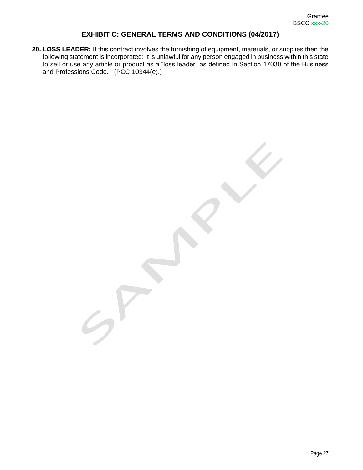**20. LOSS LEADER:** If this contract involves the furnishing of equipment, materials, or supplies then the following statement is incorporated: It is unlawful for any person engaged in business within this state to sell or use any article or product as a "loss leader" as defined in Section 17030 of the Business and Professions Code. (PCC 10344(e).)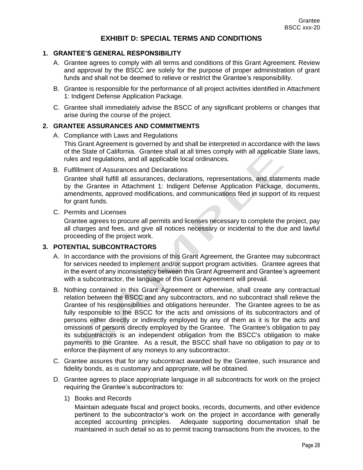#### **1. GRANTEE'S GENERAL RESPONSIBILITY**

- A. Grantee agrees to comply with all terms and conditions of this Grant Agreement. Review and approval by the BSCC are solely for the purpose of proper administration of grant funds and shall not be deemed to relieve or restrict the Grantee's responsibility.
- B. Grantee is responsible for the performance of all project activities identified in Attachment 1: Indigent Defense Application Package.
- C. Grantee shall immediately advise the BSCC of any significant problems or changes that arise during the course of the project.

#### **2. GRANTEE ASSURANCES AND COMMITMENTS**

A. Compliance with Laws and Regulations

This Grant Agreement is governed by and shall be interpreted in accordance with the laws of the State of California. Grantee shall at all times comply with all applicable State laws, rules and regulations, and all applicable local ordinances.

B. Fulfillment of Assurances and Declarations

Grantee shall fulfill all assurances, declarations, representations, and statements made by the Grantee in Attachment 1: Indigent Defense Application Package, documents, amendments, approved modifications, and communications filed in support of its request for grant funds.

#### C. Permits and Licenses

Grantee agrees to procure all permits and licenses necessary to complete the project, pay all charges and fees, and give all notices necessary or incidental to the due and lawful proceeding of the project work.

#### **3. POTENTIAL SUBCONTRACTORS**

- A. In accordance with the provisions of this Grant Agreement, the Grantee may subcontract for services needed to implement and/or support program activities. Grantee agrees that in the event of any inconsistency between this Grant Agreement and Grantee's agreement with a subcontractor, the language of this Grant Agreement will prevail.
- B. Nothing contained in this Grant Agreement or otherwise, shall create any contractual relation between the BSCC and any subcontractors, and no subcontract shall relieve the Grantee of his responsibilities and obligations hereunder. The Grantee agrees to be as fully responsible to the BSCC for the acts and omissions of its subcontractors and of persons either directly or indirectly employed by any of them as it is for the acts and omissions of persons directly employed by the Grantee. The Grantee's obligation to pay its subcontractors is an independent obligation from the BSCC's obligation to make payments to the Grantee. As a result, the BSCC shall have no obligation to pay or to enforce the payment of any moneys to any subcontractor.
- C. Grantee assures that for any subcontract awarded by the Grantee, such insurance and fidelity bonds, as is customary and appropriate, will be obtained.
- D. Grantee agrees to place appropriate language in all subcontracts for work on the project requiring the Grantee's subcontractors to:
	- 1) Books and Records

Maintain adequate fiscal and project books, records, documents, and other evidence pertinent to the subcontractor's work on the project in accordance with generally accepted accounting principles. Adequate supporting documentation shall be maintained in such detail so as to permit tracing transactions from the invoices, to the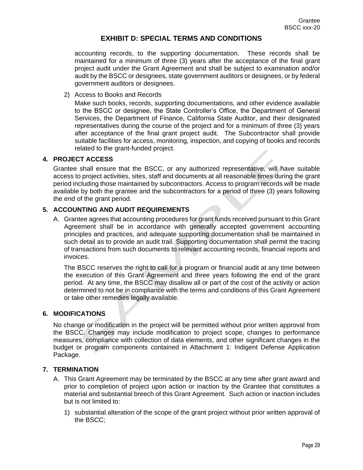accounting records, to the supporting documentation. These records shall be maintained for a minimum of three (3) years after the acceptance of the final grant project audit under the Grant Agreement and shall be subject to examination and/or audit by the BSCC or designees, state government auditors or designees, or by federal government auditors or designees.

2) Access to Books and Records

Make such books, records, supporting documentations, and other evidence available to the BSCC or designee, the State Controller's Office, the Department of General Services, the Department of Finance, California State Auditor, and their designated representatives during the course of the project and for a minimum of three (3) years after acceptance of the final grant project audit. The Subcontractor shall provide suitable facilities for access, monitoring, inspection, and copying of books and records related to the grant-funded project.

#### **4. PROJECT ACCESS**

Grantee shall ensure that the BSCC, or any authorized representative, will have suitable access to project activities, sites, staff and documents at all reasonable times during the grant period including those maintained by subcontractors. Access to program records will be made available by both the grantee and the subcontractors for a period of three (3) years following the end of the grant period.

#### **5. ACCOUNTING AND AUDIT REQUIREMENTS**

A. Grantee agrees that accounting procedures for grant funds received pursuant to this Grant Agreement shall be in accordance with generally accepted government accounting principles and practices, and adequate supporting documentation shall be maintained in such detail as to provide an audit trail. Supporting documentation shall permit the tracing of transactions from such documents to relevant accounting records, financial reports and invoices.

The BSCC reserves the right to call for a program or financial audit at any time between the execution of this Grant Agreement and three years following the end of the grant period. At any time, the BSCC may disallow all or part of the cost of the activity or action determined to not be in compliance with the terms and conditions of this Grant Agreement or take other remedies legally available.

#### **6. MODIFICATIONS**

No change or modification in the project will be permitted without prior written approval from the BSCC. Changes may include modification to project scope, changes to performance measures, compliance with collection of data elements, and other significant changes in the budget or program components contained in Attachment 1: Indigent Defense Application Package.

#### **7. TERMINATION**

- A. This Grant Agreement may be terminated by the BSCC at any time after grant award and prior to completion of project upon action or inaction by the Grantee that constitutes a material and substantial breech of this Grant Agreement. Such action or inaction includes but is not limited to:
	- 1) substantial alteration of the scope of the grant project without prior written approval of the BSCC;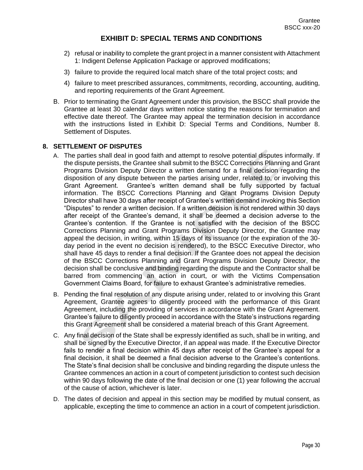- 2) refusal or inability to complete the grant project in a manner consistent with Attachment 1: Indigent Defense Application Package or approved modifications;
- 3) failure to provide the required local match share of the total project costs; and
- 4) failure to meet prescribed assurances, commitments, recording, accounting, auditing, and reporting requirements of the Grant Agreement.
- B. Prior to terminating the Grant Agreement under this provision, the BSCC shall provide the Grantee at least 30 calendar days written notice stating the reasons for termination and effective date thereof. The Grantee may appeal the termination decision in accordance with the instructions listed in Exhibit D: Special Terms and Conditions, Number 8. Settlement of Disputes.

#### **8. SETTLEMENT OF DISPUTES**

- A. The parties shall deal in good faith and attempt to resolve potential disputes informally. If the dispute persists, the Grantee shall submit to the BSCC Corrections Planning and Grant Programs Division Deputy Director a written demand for a final decision regarding the disposition of any dispute between the parties arising under, related to, or involving this Grant Agreement. Grantee's written demand shall be fully supported by factual information. The BSCC Corrections Planning and Grant Programs Division Deputy Director shall have 30 days after receipt of Grantee's written demand invoking this Section "Disputes" to render a written decision. If a written decision is not rendered within 30 days after receipt of the Grantee's demand, it shall be deemed a decision adverse to the Grantee's contention. If the Grantee is not satisfied with the decision of the BSCC Corrections Planning and Grant Programs Division Deputy Director, the Grantee may appeal the decision, in writing, within 15 days of its issuance (or the expiration of the 30 day period in the event no decision is rendered), to the BSCC Executive Director, who shall have 45 days to render a final decision. If the Grantee does not appeal the decision of the BSCC Corrections Planning and Grant Programs Division Deputy Director, the decision shall be conclusive and binding regarding the dispute and the Contractor shall be barred from commencing an action in court, or with the Victims Compensation Government Claims Board, for failure to exhaust Grantee's administrative remedies.
- B. Pending the final resolution of any dispute arising under, related to or involving this Grant Agreement, Grantee agrees to diligently proceed with the performance of this Grant Agreement, including the providing of services in accordance with the Grant Agreement. Grantee's failure to diligently proceed in accordance with the State's instructions regarding this Grant Agreement shall be considered a material breach of this Grant Agreement.
- C. Any final decision of the State shall be expressly identified as such, shall be in writing, and shall be signed by the Executive Director, if an appeal was made. If the Executive Director fails to render a final decision within 45 days after receipt of the Grantee's appeal for a final decision, it shall be deemed a final decision adverse to the Grantee's contentions. The State's final decision shall be conclusive and binding regarding the dispute unless the Grantee commences an action in a court of competent jurisdiction to contest such decision within 90 days following the date of the final decision or one (1) year following the accrual of the cause of action, whichever is later.
- D. The dates of decision and appeal in this section may be modified by mutual consent, as applicable, excepting the time to commence an action in a court of competent jurisdiction.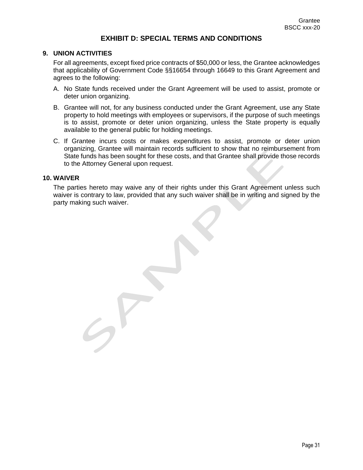#### **9. UNION ACTIVITIES**

For all agreements, except fixed price contracts of \$50,000 or less, the Grantee acknowledges that applicability of Government Code §§16654 through 16649 to this Grant Agreement and agrees to the following:

- A. No State funds received under the Grant Agreement will be used to assist, promote or deter union organizing.
- B. Grantee will not, for any business conducted under the Grant Agreement, use any State property to hold meetings with employees or supervisors, if the purpose of such meetings is to assist, promote or deter union organizing, unless the State property is equally available to the general public for holding meetings.
- C. If Grantee incurs costs or makes expenditures to assist, promote or deter union organizing, Grantee will maintain records sufficient to show that no reimbursement from State funds has been sought for these costs, and that Grantee shall provide those records to the Attorney General upon request.

#### **10. WAIVER**

 $S^{\nabla}$ 

The parties hereto may waive any of their rights under this Grant Agreement unless such waiver is contrary to law, provided that any such waiver shall be in writing and signed by the party making such waiver.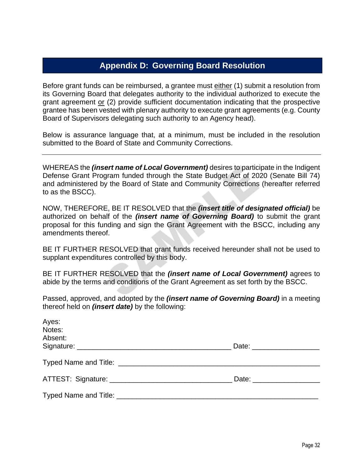### **Appendix D: Governing Board Resolution**

<span id="page-33-0"></span>Before grant funds can be reimbursed, a grantee must either (1) submit a resolution from its Governing Board that delegates authority to the individual authorized to execute the grant agreement or (2) provide sufficient documentation indicating that the prospective grantee has been vested with plenary authority to execute grant agreements (e.g. County Board of Supervisors delegating such authority to an Agency head).

Below is assurance language that, at a minimum, must be included in the resolution submitted to the Board of State and Community Corrections.

WHEREAS the *(insert name of Local Government)* desires to participate in the Indigent Defense Grant Program funded through the State Budget Act of 2020 (Senate Bill 74) and administered by the Board of State and Community Corrections (hereafter referred to as the BSCC).

NOW, THEREFORE, BE IT RESOLVED that the *(insert title of designated official)* be authorized on behalf of the *(insert name of Governing Board)* to submit the grant proposal for this funding and sign the Grant Agreement with the BSCC, including any amendments thereof.

BE IT FURTHER RESOLVED that grant funds received hereunder shall not be used to supplant expenditures controlled by this body.

BE IT FURTHER RESOLVED that the *(insert name of Local Government)* agrees to abide by the terms and conditions of the Grant Agreement as set forth by the BSCC.

Passed, approved, and adopted by the *(insert name of Governing Board)* in a meeting thereof held on *(insert date)* by the following:

| Ayes:<br>Notes:<br>Absent: |                                |
|----------------------------|--------------------------------|
|                            | Date: _____________________    |
|                            |                                |
|                            | Date: ________________________ |
|                            |                                |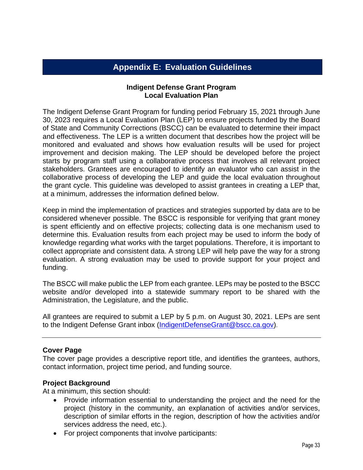#### **Appendix E: Evaluation Guidelines**

#### **Indigent Defense Grant Program Local Evaluation Plan**

<span id="page-34-0"></span>The Indigent Defense Grant Program for funding period February 15, 2021 through June 30, 2023 requires a Local Evaluation Plan (LEP) to ensure projects funded by the Board of State and Community Corrections (BSCC) can be evaluated to determine their impact and effectiveness. The LEP is a written document that describes how the project will be monitored and evaluated and shows how evaluation results will be used for project improvement and decision making. The LEP should be developed before the project starts by program staff using a collaborative process that involves all relevant project stakeholders. Grantees are encouraged to identify an evaluator who can assist in the collaborative process of developing the LEP and guide the local evaluation throughout the grant cycle. This guideline was developed to assist grantees in creating a LEP that, at a minimum, addresses the information defined below.

Keep in mind the implementation of practices and strategies supported by data are to be considered whenever possible. The BSCC is responsible for verifying that grant money is spent efficiently and on effective projects; collecting data is one mechanism used to determine this. Evaluation results from each project may be used to inform the body of knowledge regarding what works with the target populations. Therefore, it is important to collect appropriate and consistent data. A strong LEP will help pave the way for a strong evaluation. A strong evaluation may be used to provide support for your project and funding.

The BSCC will make public the LEP from each grantee. LEPs may be posted to the BSCC website and/or developed into a statewide summary report to be shared with the Administration, the Legislature, and the public.

All grantees are required to submit a LEP by 5 p.m. on August 30, 2021. LEPs are sent to the Indigent Defense Grant inbox [\(IndigentDefenseGrant@bscc.ca.gov\)](mailto:IndigentDefenseGrant@bscc.ca.gov).

#### **Cover Page**

The cover page provides a descriptive report title, and identifies the grantees, authors, contact information, project time period, and funding source.

#### **Project Background**

At a minimum, this section should:

- Provide information essential to understanding the project and the need for the project (history in the community, an explanation of activities and/or services, description of similar efforts in the region, description of how the activities and/or services address the need, etc.).
- For project components that involve participants: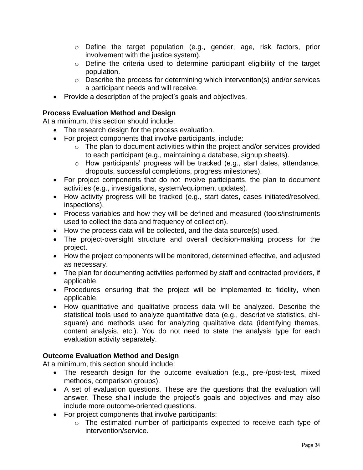- o Define the target population (e.g., gender, age, risk factors, prior involvement with the justice system).
- o Define the criteria used to determine participant eligibility of the target population.
- $\circ$  Describe the process for determining which intervention(s) and/or services a participant needs and will receive.
- Provide a description of the project's goals and objectives.

#### **Process Evaluation Method and Design**

At a minimum, this section should include:

- The research design for the process evaluation.
- For project components that involve participants, include:
	- o The plan to document activities within the project and/or services provided to each participant (e.g., maintaining a database, signup sheets).
	- o How participants' progress will be tracked (e.g., start dates, attendance, dropouts, successful completions, progress milestones).
- For project components that do not involve participants, the plan to document activities (e.g., investigations, system/equipment updates).
- How activity progress will be tracked (e.g., start dates, cases initiated/resolved, inspections).
- Process variables and how they will be defined and measured (tools/instruments used to collect the data and frequency of collection).
- How the process data will be collected, and the data source(s) used.
- The project-oversight structure and overall decision-making process for the project.
- How the project components will be monitored, determined effective, and adjusted as necessary.
- The plan for documenting activities performed by staff and contracted providers, if applicable.
- Procedures ensuring that the project will be implemented to fidelity, when applicable.
- How quantitative and qualitative process data will be analyzed. Describe the statistical tools used to analyze quantitative data (e.g., descriptive statistics, chisquare) and methods used for analyzing qualitative data (identifying themes, content analysis, etc.). You do not need to state the analysis type for each evaluation activity separately.

#### **Outcome Evaluation Method and Design**

At a minimum, this section should include:

- The research design for the outcome evaluation (e.g., pre-/post-test, mixed methods, comparison groups).
- A set of evaluation questions. These are the questions that the evaluation will answer. These shall include the project's goals and objectives and may also include more outcome-oriented questions.
- For project components that involve participants:
	- $\circ$  The estimated number of participants expected to receive each type of intervention/service.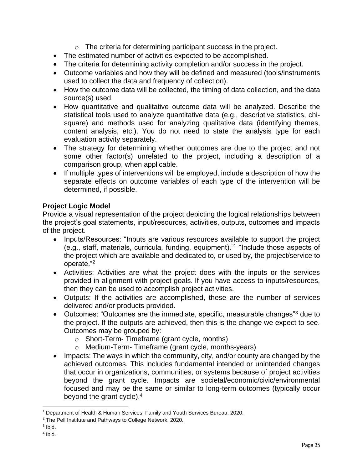- o The criteria for determining participant success in the project.
- The estimated number of activities expected to be accomplished.
- The criteria for determining activity completion and/or success in the project.
- Outcome variables and how they will be defined and measured (tools/instruments used to collect the data and frequency of collection).
- How the outcome data will be collected, the timing of data collection, and the data source(s) used.
- How quantitative and qualitative outcome data will be analyzed. Describe the statistical tools used to analyze quantitative data (e.g., descriptive statistics, chisquare) and methods used for analyzing qualitative data (identifying themes, content analysis, etc.). You do not need to state the analysis type for each evaluation activity separately.
- The strategy for determining whether outcomes are due to the project and not some other factor(s) unrelated to the project, including a description of a comparison group, when applicable.
- If multiple types of interventions will be employed, include a description of how the separate effects on outcome variables of each type of the intervention will be determined, if possible.

#### **Project Logic Model**

Provide a visual representation of the project depicting the logical relationships between the project's goal statements, input/resources, activities, outputs, outcomes and impacts of the project.

- Inputs/Resources: "Inputs are various resources available to support the project (e.g., staff, materials, curricula, funding, equipment)."<sup>1</sup> "Include those aspects of the project which are available and dedicated to, or used by, the project/service to operate."<sup>2</sup>
- Activities: Activities are what the project does with the inputs or the services provided in alignment with project goals. If you have access to inputs/resources, then they can be used to accomplish project activities.
- Outputs: If the activities are accomplished, these are the number of services delivered and/or products provided.
- Outcomes: "Outcomes are the immediate, specific, measurable changes"<sup>3</sup> due to the project. If the outputs are achieved, then this is the change we expect to see. Outcomes may be grouped by:
	- o Short-Term- Timeframe (grant cycle, months)
	- o Medium-Term- Timeframe (grant cycle, months-years)
- Impacts: The ways in which the community, city, and/or county are changed by the achieved outcomes. This includes fundamental intended or unintended changes that occur in organizations, communities, or systems because of project activities beyond the grant cycle. Impacts are societal/economic/civic/environmental focused and may be the same or similar to long-term outcomes (typically occur beyond the grant cycle).<sup>4</sup>

<sup>&</sup>lt;sup>1</sup> Department of Health & Human Services: Family and Youth Services Bureau, 2020.

<sup>2</sup> The Pell Institute and Pathways to College Network, 2020.

<sup>&</sup>lt;sup>3</sup> Ibid.

<sup>4</sup> Ibid.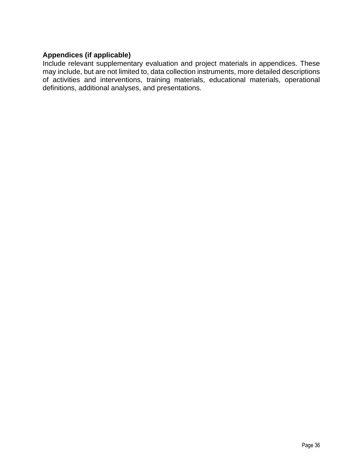#### **Appendices (if applicable)**

Include relevant supplementary evaluation and project materials in appendices. These may include, but are not limited to, data collection instruments, more detailed descriptions of activities and interventions, training materials, educational materials, operational definitions, additional analyses, and presentations.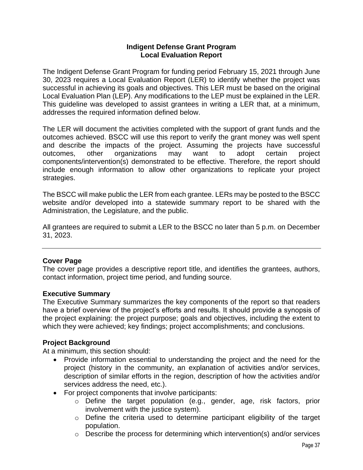#### **Indigent Defense Grant Program Local Evaluation Report**

The Indigent Defense Grant Program for funding period February 15, 2021 through June 30, 2023 requires a Local Evaluation Report (LER) to identify whether the project was successful in achieving its goals and objectives. This LER must be based on the original Local Evaluation Plan (LEP). Any modifications to the LEP must be explained in the LER. This guideline was developed to assist grantees in writing a LER that, at a minimum, addresses the required information defined below.

The LER will document the activities completed with the support of grant funds and the outcomes achieved. BSCC will use this report to verify the grant money was well spent and describe the impacts of the project. Assuming the projects have successful outcomes, other organizations may want to adopt certain project components/intervention(s) demonstrated to be effective. Therefore, the report should include enough information to allow other organizations to replicate your project strategies.

The BSCC will make public the LER from each grantee. LERs may be posted to the BSCC website and/or developed into a statewide summary report to be shared with the Administration, the Legislature, and the public.

All grantees are required to submit a LER to the BSCC no later than 5 p.m. on December 31, 2023.

#### **Cover Page**

The cover page provides a descriptive report title, and identifies the grantees, authors, contact information, project time period, and funding source.

#### **Executive Summary**

The Executive Summary summarizes the key components of the report so that readers have a brief overview of the project's efforts and results. It should provide a synopsis of the project explaining: the project purpose; goals and objectives, including the extent to which they were achieved; key findings; project accomplishments; and conclusions.

#### **Project Background**

At a minimum, this section should:

- Provide information essential to understanding the project and the need for the project (history in the community, an explanation of activities and/or services, description of similar efforts in the region, description of how the activities and/or services address the need, etc.).
- For project components that involve participants:
	- o Define the target population (e.g., gender, age, risk factors, prior involvement with the justice system).
	- o Define the criteria used to determine participant eligibility of the target population.
	- o Describe the process for determining which intervention(s) and/or services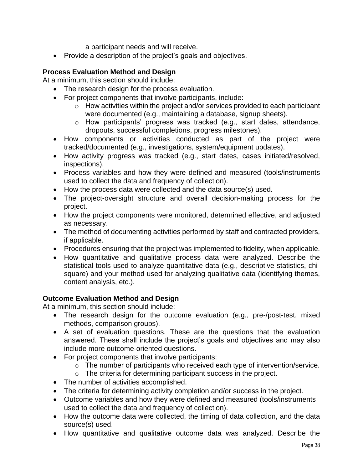a participant needs and will receive.

• Provide a description of the project's goals and objectives.

#### **Process Evaluation Method and Design**

At a minimum, this section should include:

- The research design for the process evaluation.
- For project components that involve participants, include:
	- o How activities within the project and/or services provided to each participant were documented (e.g., maintaining a database, signup sheets).
	- o How participants' progress was tracked (e.g., start dates, attendance, dropouts, successful completions, progress milestones).
- How components or activities conducted as part of the project were tracked/documented (e.g., investigations, system/equipment updates).
- How activity progress was tracked (e.g., start dates, cases initiated/resolved, inspections).
- Process variables and how they were defined and measured (tools/instruments used to collect the data and frequency of collection).
- How the process data were collected and the data source(s) used.
- The project-oversight structure and overall decision-making process for the project.
- How the project components were monitored, determined effective, and adjusted as necessary.
- The method of documenting activities performed by staff and contracted providers, if applicable.
- Procedures ensuring that the project was implemented to fidelity, when applicable.
- How quantitative and qualitative process data were analyzed. Describe the statistical tools used to analyze quantitative data (e.g., descriptive statistics, chisquare) and your method used for analyzing qualitative data (identifying themes, content analysis, etc.).

#### **Outcome Evaluation Method and Design**

At a minimum, this section should include:

- The research design for the outcome evaluation (e.g., pre-/post-test, mixed methods, comparison groups).
- A set of evaluation questions. These are the questions that the evaluation answered. These shall include the project's goals and objectives and may also include more outcome-oriented questions.
- For project components that involve participants:
	- o The number of participants who received each type of intervention/service.
	- o The criteria for determining participant success in the project.
- The number of activities accomplished.
- The criteria for determining activity completion and/or success in the project.
- Outcome variables and how they were defined and measured (tools/instruments used to collect the data and frequency of collection).
- How the outcome data were collected, the timing of data collection, and the data source(s) used.
- How quantitative and qualitative outcome data was analyzed. Describe the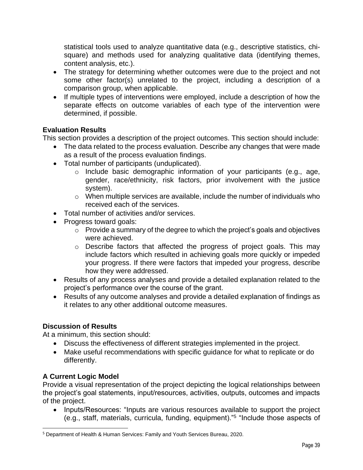statistical tools used to analyze quantitative data (e.g., descriptive statistics, chisquare) and methods used for analyzing qualitative data (identifying themes, content analysis, etc.).

- The strategy for determining whether outcomes were due to the project and not some other factor(s) unrelated to the project, including a description of a comparison group, when applicable.
- If multiple types of interventions were employed, include a description of how the separate effects on outcome variables of each type of the intervention were determined, if possible.

#### **Evaluation Results**

This section provides a description of the project outcomes. This section should include:

- The data related to the process evaluation. Describe any changes that were made as a result of the process evaluation findings.
- Total number of participants (unduplicated).
	- o Include basic demographic information of your participants (e.g., age, gender, race/ethnicity, risk factors, prior involvement with the justice system).
	- o When multiple services are available, include the number of individuals who received each of the services.
- Total number of activities and/or services.
- Progress toward goals:
	- $\circ$  Provide a summary of the degree to which the project's goals and objectives were achieved.
	- o Describe factors that affected the progress of project goals. This may include factors which resulted in achieving goals more quickly or impeded your progress. If there were factors that impeded your progress, describe how they were addressed.
- Results of any process analyses and provide a detailed explanation related to the project's performance over the course of the grant.
- Results of any outcome analyses and provide a detailed explanation of findings as it relates to any other additional outcome measures.

#### **Discussion of Results**

At a minimum, this section should:

- Discuss the effectiveness of different strategies implemented in the project.
- Make useful recommendations with specific guidance for what to replicate or do differently.

#### **A Current Logic Model**

Provide a visual representation of the project depicting the logical relationships between the project's goal statements, input/resources, activities, outputs, outcomes and impacts of the project.

• Inputs/Resources: "Inputs are various resources available to support the project (e.g., staff, materials, curricula, funding, equipment)."<sup>5</sup> "Include those aspects of

<sup>5</sup> Department of Health & Human Services: Family and Youth Services Bureau, 2020.